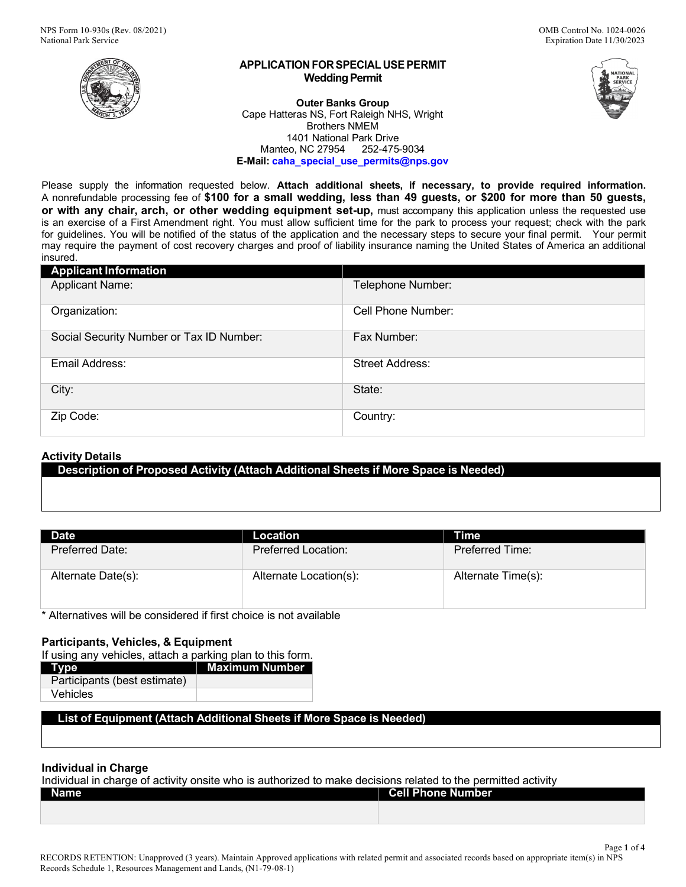



Page **1** of **4**

#### **APPLICATION FOR SPECIAL USEPERMIT Wedding Permit**

**Outer Banks Group** Cape Hatteras NS, Fort Raleigh NHS, Wright Brothers NMEM 1401 National Park Drive Manteo, NC 27954 252-475-9034 **E-Mail: [caha\\_special\\_use\\_permits@nps.gov](mailto:caha_special_use_permits@nps.gov)**

Please supply the information requested below. **Attach additional sheets, if necessary, to provide required information.**  A nonrefundable processing fee of **\$100 for a small wedding, less than 49 guests, or \$200 for more than 50 guests, or with any chair, arch, or other wedding equipment set-up,** must accompany this application unless the requested use is an exercise of a First Amendment right. You must allow sufficient time for the park to process your request; check with the park for guidelines. You will be notified of the status of the application and the necessary steps to secure your final permit. Your permit may require the payment of cost recovery charges and proof of liability insurance naming the United States of America an additional insured.

| <b>Applicant Information</b>             |                        |
|------------------------------------------|------------------------|
| <b>Applicant Name:</b>                   | Telephone Number:      |
| Organization:                            | Cell Phone Number:     |
| Social Security Number or Tax ID Number: | Fax Number:            |
| Email Address:                           | <b>Street Address:</b> |
| City:                                    | State:                 |
| Zip Code:                                | Country:               |

## **Activity Details**

**Description of Proposed Activity (Attach Additional Sheets if More Space is Needed)**

| <b>Date</b>            | Location               | Time                   |
|------------------------|------------------------|------------------------|
| <b>Preferred Date:</b> | Preferred Location:    | <b>Preferred Time:</b> |
| Alternate Date(s):     | Alternate Location(s): | Alternate Time(s):     |

\* Alternatives will be considered if first choice is not available

## **Participants, Vehicles, & Equipment**

If using any vehicles, attach a parking plan to this form.

| Type                         | <b>Maximum Number</b> |
|------------------------------|-----------------------|
| Participants (best estimate) |                       |
| Vehicles                     |                       |

## **List of Equipment (Attach Additional Sheets if More Space is Needed)**

## **Individual in Charge**

Individual in charge of activity onsite who is authorized to make decisions related to the permitted activity

| <b>Cell Phone Number</b> | Name |
|--------------------------|------|
|                          |      |
|                          |      |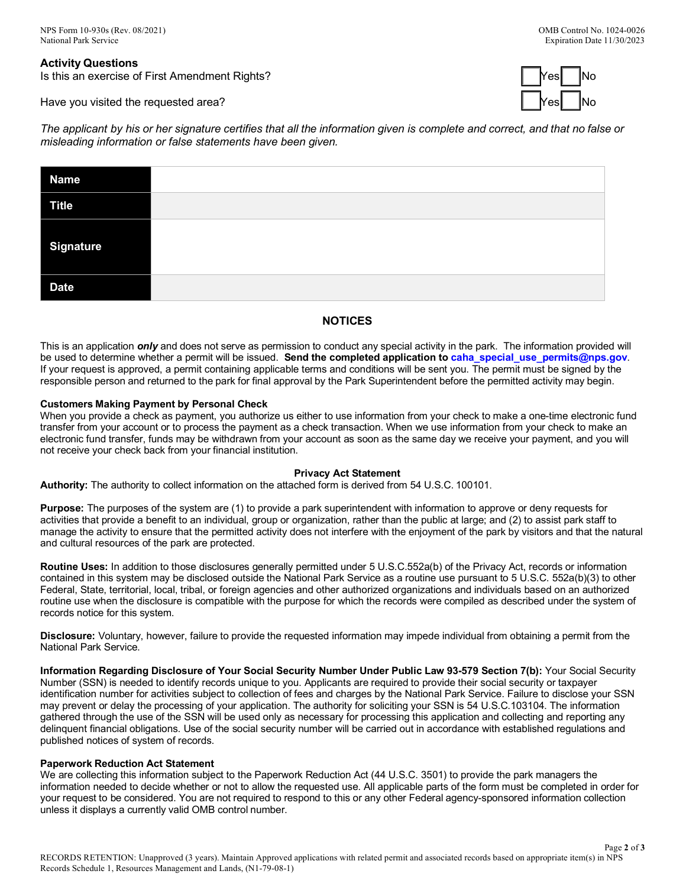**Activity Questions** Is this an exercise of First Amendment Rights?

Have you visited the requested area? Yes No Yes No Yes No Yes No Yes No Yes No Yes No Yes No Yes No Yes No Yes



The applicant by his or her signature certifies that all the information given is complete and correct, and that no false or *misleading information or false statements have been given.*

| <b>Name</b>      |  |
|------------------|--|
| Title            |  |
| <b>Signature</b> |  |
| <b>Date</b>      |  |

# **NOTICES**

This is an application *only* and does not serve as permission to conduct any special activity in the park. The information provided will be used to determine whether a permit will be issued. **Send the completed application t[o caha\\_special\\_use\\_permits@nps.gov](mailto:caha_special_use_permits@nps.gov)**. If your request is approved, a permit containing applicable terms and conditions will be sent you. The permit must be signed by the responsible person and returned to the park for final approval by the Park Superintendent before the permitted activity may begin.

### **Customers Making Payment by Personal Check**

When you provide a check as payment, you authorize us either to use information from your check to make a one-time electronic fund transfer from your account or to process the payment as a check transaction. When we use information from your check to make an electronic fund transfer, funds may be withdrawn from your account as soon as the same day we receive your payment, and you will not receive your check back from your financial institution.

#### **Privacy Act Statement**

**Authority:** The authority to collect information on the attached form is derived from 54 U.S.C. 100101.

**Purpose:** The purposes of the system are (1) to provide a park superintendent with information to approve or deny requests for activities that provide a benefit to an individual, group or organization, rather than the public at large; and (2) to assist park staff to manage the activity to ensure that the permitted activity does not interfere with the enjoyment of the park by visitors and that the natural and cultural resources of the park are protected.

**Routine Uses:** In addition to those disclosures generally permitted under 5 U.S.C.552a(b) of the Privacy Act, records or information contained in this system may be disclosed outside the National Park Service as a routine use pursuant to 5 U.S.C. 552a(b)(3) to other Federal, State, territorial, local, tribal, or foreign agencies and other authorized organizations and individuals based on an authorized routine use when the disclosure is compatible with the purpose for which the records were compiled as described under the system of records notice for this system.

**Disclosure:** Voluntary, however, failure to provide the requested information may impede individual from obtaining a permit from the National Park Service.

**Information Regarding Disclosure of Your Social Security Number Under Public Law 93-579 Section 7(b):** Your Social Security Number (SSN) is needed to identify records unique to you. Applicants are required to provide their social security or taxpayer identification number for activities subject to collection of fees and charges by the National Park Service. Failure to disclose your SSN may prevent or delay the processing of your application. The authority for soliciting your SSN is 54 U.S.C.103104. The information gathered through the use of the SSN will be used only as necessary for processing this application and collecting and reporting any delinquent financial obligations. Use of the social security number will be carried out in accordance with established regulations and published notices of system of records.

#### **Paperwork Reduction Act Statement**

We are collecting this information subject to the Paperwork Reduction Act (44 U.S.C. 3501) to provide the park managers the information needed to decide whether or not to allow the requested use. All applicable parts of the form must be completed in order for your request to be considered. You are not required to respond to this or any other Federal agency-sponsored information collection unless it displays a currently valid OMB control number.